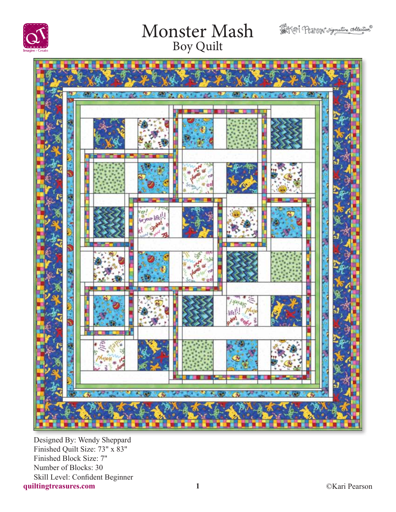





**quiltingtreasures.com 1** Designed By: Wendy Sheppard Finished Quilt Size: 73" x 83" Finished Block Size: 7" Number of Blocks: 30 Skill Level: Confident Beginner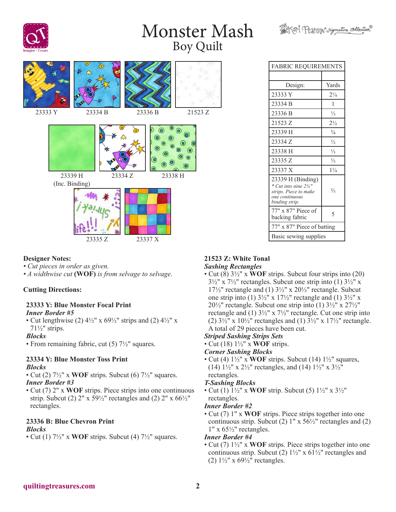

#### **Designer Notes:**

- *Cut pieces in order as given.*
- *A widthwise cut* **(WOF)** *is from selvage to selvage.*

### **Cutting Directions:**

#### **23333 Y: Blue Monster Focal Print** *Inner Border #5*

• Cut lengthwise (2)  $4\frac{1}{2}$ " x  $69\frac{1}{2}$ " strips and (2)  $4\frac{1}{2}$ " x 71½" strips.

#### *Blocks*

• From remaining fabric, cut (5)  $7\frac{1}{2}$ " squares.

#### **23334 Y: Blue Monster Toss Print** *Blocks*

- Cut (2) 7½" x **WOF** strips. Subcut (6) 7½" squares. *Inner Border #3*
- Cut (7) 2" x **WOF** strips. Piece strips into one continuous strip. Subcut (2)  $2''$  x  $59\frac{1}{2}$ " rectangles and (2)  $2''$  x  $66\frac{1}{2}$ " rectangles.

## **23336 B: Blue Chevron Print**

#### *Blocks*

• Cut (1) 7½" x **WOF** strips. Subcut (4) 7½" squares.

# FABRIC REQUIREMENTS Design: Yards 23333 Y 2¼ 23334 B 1  $23336 B$  1/<sub>3</sub>

Softer Pearson signature collection

| 21523 Z                                                                                                            | $2\frac{1}{2}$ |  |
|--------------------------------------------------------------------------------------------------------------------|----------------|--|
| 23339 H                                                                                                            | $\frac{3}{8}$  |  |
| 23334 Z                                                                                                            | $\frac{1}{2}$  |  |
| 23338 H                                                                                                            | $\frac{1}{3}$  |  |
| 23335 Z                                                                                                            | $\frac{1}{3}$  |  |
| 23337 X                                                                                                            | $1\frac{1}{4}$ |  |
| 23339 H (Binding)<br>* Cut into nine $2\frac{1}{4}$ "<br>strips. Piece to make<br>one continuous<br>binding strip. | $\frac{2}{3}$  |  |
| $77"$ x 87" Piece of<br>backing fabric                                                                             | 5              |  |
| 77" x 87" Piece of batting                                                                                         |                |  |
| Basic sewing supplies                                                                                              |                |  |

#### **21523 Z: White Tonal** *Sashing Rectangles*

• Cut (8) 3½" x **WOF** strips. Subcut four strips into (20)  $3\frac{1}{2}$ " x  $7\frac{1}{2}$ " rectangles. Subcut one strip into (1)  $3\frac{1}{2}$ " x 17 $\frac{17}{2}$ " rectangle and (1)  $3\frac{1}{2}$ " x 20 $\frac{1}{2}$ " rectangle. Subcut one strip into (1)  $3\frac{1}{2}$ " x  $17\frac{1}{2}$ " rectangle and (1)  $3\frac{1}{2}$ " x  $20\frac{1}{2}$ " rectangle. Subcut one strip into (1)  $3\frac{1}{2}$ " x  $27\frac{1}{2}$ " rectangle and (1) 3½" x 7½" rectangle. Cut one strip into (2)  $3\frac{1}{2}$ " x  $10\frac{1}{2}$ " rectangles and (1)  $3\frac{1}{2}$ " x  $17\frac{1}{2}$ " rectangle. A total of 29 pieces have been cut.

### *Striped Sashing Strips Sets*

• Cut (18) 1½" x **WOF** strips.

#### *Corner Sashing Blocks*

• Cut (4) 1½" x **WOF** strips. Subcut (14) 1½" squares, (14)  $1\frac{1}{2}$ " x  $2\frac{1}{2}$ " rectangles, and (14)  $1\frac{1}{2}$ " x  $3\frac{1}{2}$ " rectangles.

#### *T-Sashing Blocks*

• Cut (1) 1½" x **WOF** strip. Subcut (5) 1½" x 3½" rectangles.

#### *Inner Border #2*

• Cut (7) 1" x **WOF** strips. Piece strips together into one continuous strip. Subcut (2)  $1'' \times 56\frac{1}{2}''$  rectangles and (2)  $1"$  x 65 $\frac{1}{2}$ " rectangles.

#### *Inner Border #4*

• Cut (7) 1½" x **WOF** strips. Piece strips together into one continuous strip. Subcut (2)  $1\frac{1}{2}$ " x 61 $\frac{1}{2}$ " rectangles and (2)  $1\frac{1}{2}$ " x  $69\frac{1}{2}$ " rectangles.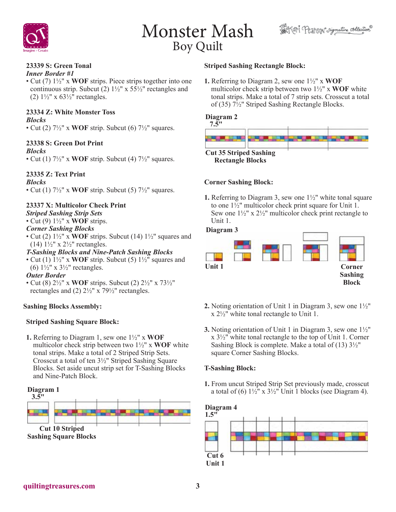



## **23339 S: Green Tonal**

*Inner Border #1*

• Cut (7) 1½" x **WOF** strips. Piece strips together into one continuous strip. Subcut (2)  $1\frac{1}{2}$ " x 55 $\frac{1}{2}$ " rectangles and (2)  $1\frac{1}{2}$ " x  $63\frac{1}{2}$ " rectangles.

## **23334 Z: White Monster Toss**

*Blocks*

• Cut (2) 7½" x **WOF** strip. Subcut (6) 7½" squares.

### **23338 S: Green Dot Print**

#### *Blocks*

• Cut (1)  $7\frac{1}{2}$ " x **WOF** strip. Subcut (4)  $7\frac{1}{2}$ " squares.

### **23335 Z: Text Print**

*Blocks*

• Cut (1)  $7\frac{1}{2}$ " x **WOF** strip. Subcut (5)  $7\frac{1}{2}$ " squares.

### **23337 X: Multicolor Check Print**

*Striped Sashing Strip Sets*

• Cut (9) 1½" x **WOF** strips.

### *Corner Sashing Blocks*

• Cut (2) 1½" x **WOF** strips. Subcut (14) 1½" squares and (14)  $1\frac{1}{2}$ " x  $2\frac{1}{2}$ " rectangles.

#### *T-Sashing Blocks and Nine-Patch Sashing Blocks*

• Cut (1) 1½" x **WOF** strip. Subcut (5) 1½" squares and (6)  $1\frac{1}{2}$ " x  $3\frac{1}{2}$ " rectangles.

#### *Outer Border*

• Cut (8) 2½" x **WOF** strips. Subcut (2) 2½" x 73½" rectangles and (2) 2½" x 79½" rectangles.

### **Sashing Blocks Assembly:**

### **Striped Sashing Square Block:**

**1.** Referring to Diagram 1, sew one 1½" x **WOF** multicolor check strip between two 1½" x **WOF** white tonal strips. Make a total of 2 Striped Strip Sets. Crosscut a total of ten 3½" Striped Sashing Square Blocks. Set aside uncut strip set for T-Sashing Blocks and Nine-Patch Block.

# **Diagram 1 Cut 10 Striped Sashing Square Blocks 3.5"**

#### **Striped Sashing Rectangle Block:**

**1.** Referring to Diagram 2, sew one 1½" x **WOF** multicolor check strip between two 1½" x **WOF** white tonal strips. Make a total of 7 strip sets. Crosscut a total of (35) 7½" Striped Sashing Rectangle Blocks.

### **Diagram 2**



#### **Corner Sashing Block:**

**1.** Referring to Diagram 3, sew one 1½" white tonal square to one 1½" multicolor check print square for Unit 1. Sew one  $1\frac{1}{2}$ " x  $2\frac{1}{2}$ " multicolor check print rectangle to Unit 1.

#### **Diagram 3**



- **2.** Noting orientation of Unit 1 in Diagram 3, sew one 1½" x 2½" white tonal rectangle to Unit 1.
- **3.** Noting orientation of Unit 1 in Diagram 3, sew one 1½" x 3½" white tonal rectangle to the top of Unit 1. Corner Sashing Block is complete. Make a total of (13) 3½" square Corner Sashing Blocks.

### **T-Sashing Block:**

**1.** From uncut Striped Strip Set previously made, crosscut a total of (6)  $1\frac{1}{2}$ " x  $3\frac{1}{2}$ " Unit 1 blocks (see Diagram 4).

#### **Diagram 4**

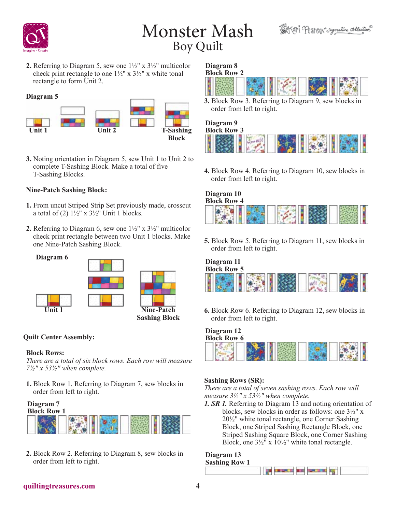



**2.** Referring to Diagram 5, sew one 1½" x 3½" multicolor check print rectangle to one  $1\frac{1}{2}$ " x  $3\frac{1}{2}$ " x white tonal rectangle to form Unit 2.

#### **Diagram 5**



**3.** Noting orientation in Diagram 5, sew Unit 1 to Unit 2 to complete T-Sashing Block. Make a total of five T-Sashing Blocks.

### **Nine-Patch Sashing Block:**

- **1.** From uncut Striped Strip Set previously made, crosscut a total of (2)  $1\frac{1}{2}$ " x  $3\frac{1}{2}$ " Unit 1 blocks.
- **2.** Referring to Diagram 6, sew one 1½" x 3½" multicolor check print rectangle between two Unit 1 blocks. Make one Nine-Patch Sashing Block.



#### **Quilt Center Assembly:**

#### **Block Rows:**

*There are a total of six block rows. Each row will measure 7½" x 53½" when complete.*

**1.** Block Row 1. Referring to Diagram 7, sew blocks in order from left to right.

# **Diagram 7**



**2.** Block Row 2. Referring to Diagram 8, sew blocks in order from left to right.

#### **Diagram 8 Block Row 2**



**3.** Block Row 3. Referring to Diagram 9, sew blocks in order from left to right.

#### **Diagram 9 Block Row 3**



**4.** Block Row 4. Referring to Diagram 10, sew blocks in order from left to right.

#### **Diagram 10 Block Row 4**



**5.** Block Row 5. Referring to Diagram 11, sew blocks in order from left to right.

#### **Diagram 11 Block Row 5**

| <b>TO THE TEAM</b> |  | $\frac{1}{\sqrt{2}}\int_{\frac{1}{2}}^{2\pi} \frac{1}{\sqrt{2}}\frac{dx}{dx}$<br>$\frac{1}{2}$ |  |
|--------------------|--|------------------------------------------------------------------------------------------------|--|
|--------------------|--|------------------------------------------------------------------------------------------------|--|

**6.** Block Row 6. Referring to Diagram 12, sew blocks in order from left to right.

# **Diagram 12 Block Row 6**



### **Sashing Rows (SR):**

*There are a total of seven sashing rows. Each row will measure 3½" x 53½" when complete.*

*1. SR 1.* Referring to Diagram 13 and noting orientation of blocks, sew blocks in order as follows: one 3½" x 20½" white tonal rectangle, one Corner Sashing Block, one Striped Sashing Rectangle Block, one Striped Sashing Square Block, one Corner Sashing Block, one  $3\frac{1}{2}$ " x  $10\frac{1}{2}$ " white tonal rectangle.

#### **Diagram 13 Sashing Row 1**



### **quiltingtreasures.com 4**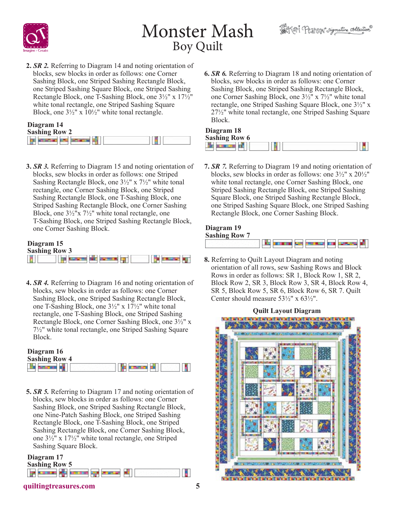



н

**2.** *SR 2.* Referring to Diagram 14 and noting orientation of blocks, sew blocks in order as follows: one Corner Sashing Block, one Striped Sashing Rectangle Block, one Striped Sashing Square Block, one Striped Sashing Rectangle Block, one T-Sashing Block, one 3½" x 17½" white tonal rectangle, one Striped Sashing Square Block, one 3½" x 10½" white tonal rectangle.

| Diagram 14           |  |
|----------------------|--|
| <b>Sashing Row 2</b> |  |

| <b>Sashing Row 2</b> |  |  |
|----------------------|--|--|
|                      |  |  |

**3.** *SR 3.* Referring to Diagram 15 and noting orientation of blocks, sew blocks in order as follows: one Striped Sashing Rectangle Block, one 3½" x 7½" white tonal rectangle, one Corner Sashing Block, one Striped Sashing Rectangle Block, one T-Sashing Block, one Striped Sashing Rectangle Block, one Corner Sashing Block, one 3½"x 7½" white tonal rectangle, one T-Sashing Block, one Striped Sashing Rectangle Block, one Corner Sashing Block.

#### **Diagram 15 Sashing Row 3** go knowing has comment up **THE SERVICE AND** H

**4.** *SR 4.* Referring to Diagram 16 and noting orientation of blocks, sew blocks in order as follows: one Corner Sashing Block, one Striped Sashing Rectangle Block, one T-Sashing Block, one 3½" x 17½" white tonal rectangle, one T-Sashing Block, one Striped Sashing Rectangle Block, one Corner Sashing Block, one 3½" x 7½" white tonal rectangle, one Striped Sashing Square Block.

| Diagram 16           |  |
|----------------------|--|
| <b>Sashing Row 4</b> |  |
|                      |  |

**5.** *SR 5.* Referring to Diagram 17 and noting orientation of blocks, sew blocks in order as follows: one Corner Sashing Block, one Striped Sashing Rectangle Block, one Nine-Patch Sashing Block, one Striped Sashing Rectangle Block, one T-Sashing Block, one Striped Sashing Rectangle Block, one Corner Sashing Block, one 3½" x 17½" white tonal rectangle, one Striped Sashing Square Block.

## **Diagram 17 Sashing Row 5 In the college of the college of the col**

**6.** *SR 6.* Referring to Diagram 18 and noting orientation of blocks, sew blocks in order as follows: one Corner Sashing Block, one Striped Sashing Rectangle Block, one Corner Sashing Block, one 3½" x 7½" white tonal rectangle, one Striped Sashing Square Block, one 3½" x 27½" white tonal rectangle, one Striped Sashing Square Block.

#### **Diagram 18 Sashing Row 6** The presence of

**7.** *SR 7.* Referring to Diagram 19 and noting orientation of blocks, sew blocks in order as follows: one 3½" x 20½" white tonal rectangle, one Corner Sashing Block, one Striped Sashing Rectangle Block, one Striped Sashing Square Block, one Striped Sashing Rectangle Block, one Striped Sashing Square Block, one Striped Sashing Rectangle Block, one Corner Sashing Block.

#### **Diagram 19 Sashing Row 7**



**8.** Referring to Quilt Layout Diagram and noting orientation of all rows, sew Sashing Rows and Block Rows in order as follows: SR 1, Block Row 1, SR 2, Block Row 2, SR 3, Block Row 3, SR 4, Block Row 4, SR 5, Block Row 5, SR 6, Block Row 6, SR 7. Quilt Center should measure  $53\frac{1}{2}$ " x  $63\frac{1}{2}$ ".



## **quiltingtreasures.com 5**